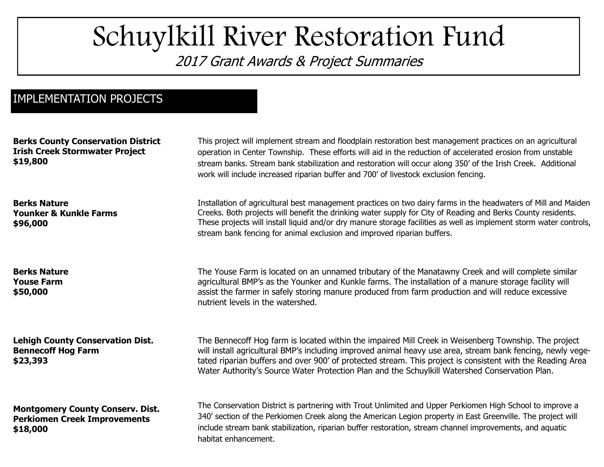## Schuylkill River Restoration Fund

2017 Grant Awards & Project Summaries

## IMPLEMENTATION PROJECTS

**Berks County Conservation District Irish Creek Stormwater Project \$19,800 Berks Nature Younker & Kunkle Farms \$96,000 Berks Nature Youse Farm \$50,000 Lehigh County Conservation Dist. Bennecoff Hog Farm \$23,393 Montgomery County Conserv. Dist. Perkiomen Creek Improvements \$18,000** Installation of agricultural best management practices on two dairy farms in the headwaters of Mill and Maiden Creeks. Both projects will benefit the drinking water supply for City of Reading and Berks County residents. These projects will install liquid and/or dry manure storage facilities as well as implement storm water controls, stream bank fencing for animal exclusion and improved riparian buffers. The Youse Farm is located on an unnamed tributary of the Manatawny Creek and will complete similar agricultural BMP's as the Younker and Kunkle farms. The installation of a manure storage facility will assist the farmer in safely storing manure produced from farm production and will reduce excessive nutrient levels in the watershed. The Bennecoff Hog farm is located within the impaired Mill Creek in Weisenberg Township. The project will install agricultural BMP's including improved animal heavy use area, stream bank fencing, newly vegetated riparian buffers and over 900' of protected stream. This project is consistent with the Reading Area Water Authority's Source Water Protection Plan and the Schuylkill Watershed Conservation Plan. This project will implement stream and floodplain restoration best management practices on an agricultural operation in Center Township. These efforts will aid in the reduction of accelerated erosion from unstable stream banks. Stream bank stabilization and restoration will occur along 350' of the Irish Creek. Additional work will include increased riparian buffer and 700' of livestock exclusion fencing. The Conservation District is partnering with Trout Unlimited and Upper Perkiomen High School to improve a 340' section of the Perkiomen Creek along the American Legion property in East Greenville. The project will include stream bank stabilization, riparian buffer restoration, stream channel improvements, and aquatic habitat enhancement.